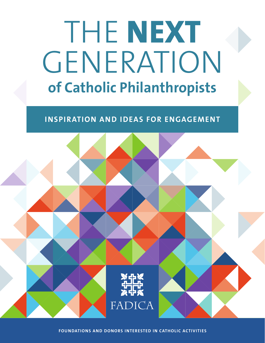# THE **NEXT**  GENERATION **of Catholic Philanthropists**

### **INSPIRATION AND IDEAS FOR ENGAGEMENT**



**FOUNDATIONS AND DONORS INTERESTED IN CATHOLIC ACTIVITIES**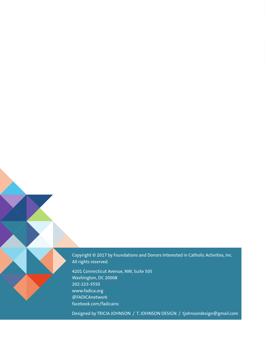Copyright © 2017 by Foundations and Donors Interested in Catholic Activities, Inc. All rights reserved.

4201 Connecticut Avenue, NW, Suite 505 Washington, DC 20008 202-223-3550 www.fadica.org @FADICAnetwork facebook.com/fadicainc

Designed by TRICIA JOHNSON / T. JOHNSON DESIGN / tjohnsondesign@gmail.com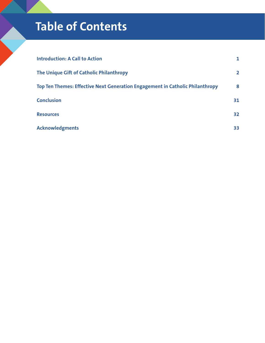## **Table of Contents**

| <b>Introduction: A Call to Action</b>                                         |                 |
|-------------------------------------------------------------------------------|-----------------|
| The Unique Gift of Catholic Philanthropy                                      | $\mathbf{2}$    |
| Top Ten Themes: Effective Next Generation Engagement in Catholic Philanthropy | 8               |
| <b>Conclusion</b>                                                             | 31              |
| <b>Resources</b>                                                              | 32 <sub>2</sub> |
| <b>Acknowledgments</b>                                                        | 33              |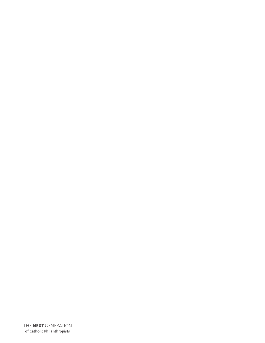THE **NEXT** GENERATION **of Catholic Philanthropists**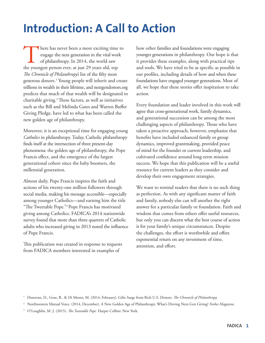## **Introduction: A Call to Action**

There has never been a more exciting time to engage the next generation in the vital work of philanthropy. In 2014, the world saw the youngest person ever, at just 29 years old, top engage the next generation in the vital work of philanthropy. In 2014, the world saw *The Chronicle of Philanthropy's* list of the fifty most generous donors.1 Young people will inherit and create trillions in wealth in their lifetime, and nextgendonors.org predicts that much of that wealth will be designated to charitable giving.2 These factors, as well as initiatives such as the Bill and Melinda Gates and Warren Buffet Giving Pledge, have led to what has been called the new golden age of philanthropy.

Moreover, it is an exceptional time for engaging young *Catholics* in philanthropy. Today, Catholic philanthropy finds itself at the intersection of three present-day phenomena: the golden age of philanthropy, the Pope Francis effect, and the emergence of the largest generational cohort since the baby boomers, the millennial generation.

Almost daily, Pope Francis inspires the faith and actions of his twenty-one million followers through social media, making his message accessible—especially among younger Catholics—and earning him the title "The Tweetable Pope."3 Pope Francis has motivated giving among Catholics. FADICA's 2014 nationwide survey found that more than three quarters of Catholic adults who increased giving in 2013 noted the influence of Pope Francis.

This publication was created in response to requests from FADICA members interested in examples of

how other families and foundations were engaging younger generations in philanthropy. Our hope is that it provides these examples, along with practical tips and tools. We have tried to be as specific as possible in our profiles, including details of how and when these foundations have engaged younger generations. Most of all, we hope that these stories offer inspiration to take action.

Every foundation and leader involved in this work will agree that cross-generational work, family dynamics, and generational succession can be among the most challenging aspects of philanthropy. Those who have taken a proactive approach, however, emphasize that benefits have included enhanced family or group dynamics, improved grantmaking, provided peace of mind for the founder or current leadership, and cultivated confidence around long-term mission success. We hope that this publication will be a useful resource for current leaders as they consider and develop their own engagement strategies.

We want to remind readers that there is no such thing as perfection. As with any significant matter of faith and family, nobody else can tell another the right answer for a particular family or foundation. Faith and wisdom that comes from others offer useful resources, but only you can discern what the best course of action is for your family's unique circumstances. Despite the challenges, the effort is worthwhile and offers exponential return on any investment of time, attention, and effort.

<sup>1</sup> Donovan, D., Gose, B., & Di Mento, M. (2014, February). Gifts Surge from Rich U.S. Donors. *The Chronicle of Philanthropy.*

<sup>2</sup> Northwestern Mutual Voice. (2014, December). A New Golden Age of Philanthropy: What's Driving Next-Gen Giving? *Forbes Magazine.*

<sup>&</sup>lt;sup>3</sup> O'Loughlin, M. J. (2015). *The Tweetable Pope*. Harper Collins: New York.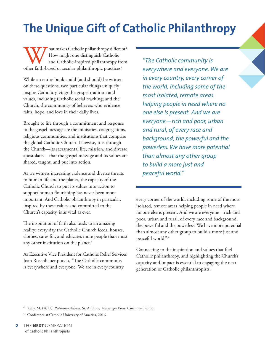# **The Unique Gift of Catholic Philanthropy**

What makes Catholic philanthropy different?<br>
How might one distinguish Catholic<br>
and Catholic-inspired philanthropy from<br>
other faith-based or secular philanthropic practices? How might one distinguish Catholic and Catholic-inspired philanthropy from

While an entire book could (and should) be written on these questions, two particular things uniquely inspire Catholic giving: the gospel tradition and values, including Catholic social teaching; and the Church, the community of believers who evidence faith, hope, and love in their daily lives.

Brought to life through a commitment and response to the gospel message are the ministries, congregations, religious communities, and institutions that comprise the global Catholic Church. Likewise, it is through the Church—its sacramental life, mission, and diverse apostolates—that the gospel message and its values are shared, taught, and put into action.

As we witness increasing violence and diverse threats to human life and the planet, the capacity of the Catholic Church to put its values into action to support human flourishing has never been more important. And Catholic philanthropy in particular, inspired by these values and committed to the Church's capacity, is as vital as ever.

The inspiration of faith also leads to an amazing reality: every day the Catholic Church feeds, houses, clothes, cares for, and educates more people than most any other institution on the planet.<sup>4</sup>

As Executive Vice President for Catholic Relief Services Joan Rosenhauer puts it, "The Catholic community is everywhere and everyone. We are in every country,

*"The Catholic community is everywhere and everyone. We are in every country, every corner of the world, including some of the most isolated, remote areas helping people in need where no one else is present. And we are everyone—rich and poor, urban and rural, of every race and background, the powerful and the powerless. We have more potential than almost any other group to build a more just and peaceful world."*

every corner of the world, including some of the most isolated, remote areas helping people in need where no one else is present. And we are everyone—rich and poor, urban and rural, of every race and background, the powerful and the powerless. We have more potential than almost any other group to build a more just and peaceful world."5

Connecting to the inspiration and values that fuel Catholic philanthropy, and highlighting the Church's capacity and impact is essential to engaging the next generation of Catholic philanthropists.

<sup>4</sup> Kelly, M. (2011). *Rediscover Advent*. St. Anthony Messenger Press: Cincinnati, Ohio.

<sup>5</sup> Conference at Catholic University of America, 2016.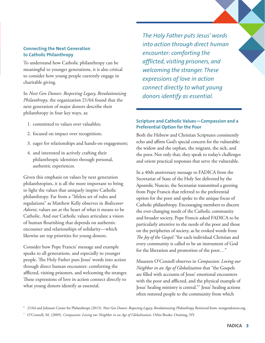#### **Connecting the Next Generation to Catholic Philanthropy**

To understand how Catholic philanthropy can be meaningful to younger generations, it is also critical to consider how young people currently engage in charitable giving.

In *Next Gen Donors: Respecting Legacy, Revolutionizing Philanthropy*, the organization 21/64 found that the next generation of major donors describe their philanthropy in four key ways, as:

- 1. committed to values over valuables;
- 2. focused on impact over recognition;
- 3. eager for relationships and hands-on engagement;
- 4. and interested in actively crafting their philanthropic identities through personal, authentic experiences.

Given this emphasis on values by next generation philanthropists, it is all the more important to bring to light the values that uniquely inspire Catholic philanthropy. Far from a "lifeless set of rules and regulations" as Matthew Kelly observes in *Rediscover Advent*, values are at the heart of what it means to be Catholic. And our Catholic values articulate a vision of human flourishing that depends on authentic encounter and relationships of solidarity—which likewise are top priorities for young donors.

Consider how Pope Francis' message and example speaks to all generations, and especially to younger people. The Holy Father puts Jesus' words into action through direct human encounter: comforting the afflicted, visiting prisoners, and welcoming the stranger. These expressions of love in action connect directly to what young donors identify as essential.

*The Holy Father puts Jesus' words into action through direct human encounter: comforting the afflicted, visiting prisoners, and welcoming the stranger. These expressions of love in action connect directly to what young donors identify as essential.*

#### **Scripture and Catholic Values—Compassion and a Preferential Option for the Poor**

Both the Hebrew and Christian Scriptures consistently echo and affirm God's special concern for the vulnerable: the widow and the orphan, the migrant, the sick, and the poor. Not only that, they speak to today's challenges and orient practical responses that serve the vulnerable.

In a 40th anniversary message to FADICA from the Secretariat of State of the Holy See delivered by the Apostolic Nuncio, the Secretariat transmitted a greeting from Pope Francis that referred to the preferential option for the poor and spoke to the unique focus of Catholic philanthropy. Encouraging members to discern the ever-changing needs of the Catholic community and broader society, Pope Francis asked FADICA to be particularly attentive to the needs of the poor and those on the peripheries of society, as he evoked words from *The Joy of the Gospel:* "for each individual Christian and every community is called to be an instrument of God for the liberation and promotion of the poor…"

Maureen O'Connell observes in *Compassion: Loving our Neighbor in an Age of Globalization* that "the Gospels are filled with accounts of Jesus' emotional encounters with the poor and afflicted, and the physical example of Jesus' healing ministry is central."7 Jesus' healing actions often restored people to the community from which

<sup>6</sup> 21/64 and Johnson Center for Philanthropy (2013). *Next Gen Donors: Respecting Legacy, Revolutionizing Philanthropy.* Retrieved from: nextgendonors.org.

<sup>7</sup> O'Connell, M. (2009). *Compassion: Loving our Neighbor in an Age of Globalization.* Orbis Books: Ossining, NY.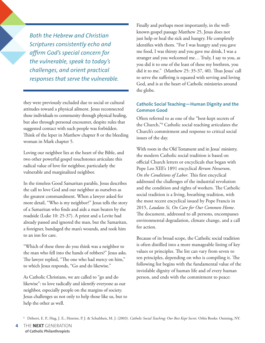*Both the Hebrew and Christian Scriptures consistently echo and affirm God's special concern for the vulnerable, speak to today's challenges, and orient practical responses that serve the vulnerable.* 

they were previously excluded due to social or cultural attitudes toward a physical ailment. Jesus reconnected these individuals to community through physical healing, but also through personal encounter, despite rules that suggested contact with such people was forbidden. Think of the leper in Matthew chapter 8 or the bleeding woman in Mark chapter 5.

Loving our neighbor lies at the heart of the Bible, and two other powerful gospel touchstones articulate this radical value of love for neighbor, particularly the vulnerable and marginalized neighbor.

In the timeless Good Samaritan parable, Jesus describes the call to love God and our neighbor as ourselves as the greatest commandment. When a lawyer asked for more detail, "Who is my neighbor?" Jesus tells the story of a Samaritan who finds and aids a man beaten by the roadside (Luke 10: 25-37). A priest and a Levite had already passed and ignored the man, but the Samaritan, a foreigner, bandaged the man's wounds, and took him to an inn for care.

"Which of these three do you think was a neighbor to the man who fell into the hands of robbers?" Jesus asks. The lawyer replied, "The one who had mercy on him," to which Jesus responds, "Go and do likewise."

As Catholic Christians, we are called to "go and do likewise": to love radically and identify everyone as our neighbor, especially people on the margins of society. Jesus challenges us not only to help those like us, but to help the other as well.

Finally and perhaps most importantly, in the wellknown gospel passage Matthew 25, Jesus does not just help or heal the sick and hungry. He completely identifies with them. "For I was hungry and you gave me food, I was thirsty and you gave me drink, I was a stranger and you welcomed me… Truly, I say to you, as you did it to one of the least of these my brethren, you did it to me." (Matthew 25: 35-37, 40). Thus Jesus' call to serve the suffering is equated with serving and loving God, and is at the heart of Catholic ministries around the globe.

#### **Catholic Social Teaching—Human Dignity and the Common Good**

Often referred to as one of the "best-kept secrets of the Church,"8 Catholic social teaching articulates the Church's commitment and response to critical social issues of the day.

With roots in the Old Testament and in Jesus' ministry, the modern Catholic social tradition is based on official Church letters or encyclicals that began with Pope Leo XIII's 1891 encyclical *Rerum Novarum*, *On the Conditions of Labor*. This first encyclical addressed the challenges of the industrial revolution and the condition and rights of workers. The Catholic social tradition is a living, breathing tradition, with the most recent encyclical issued by Pope Francis in 2015, *Laudato Si, On Care for Our Common Home*. The document, addressed to all persons, encompasses environmental degradation, climate change, and a call for action.

Because of its broad scope, the Catholic social tradition is often distilled into a more manageable listing of key values or principles. The list can vary from seven to ten principles, depending on who is compiling it. The following list begins with the fundamental value of the inviolable dignity of human life and of every human person, and ends with the commitment to peace:

8 Deberri, E. P., Hug, J. E., Henriot, P. J. & Schultheis, M. J. (2003). *Catholic Social Teaching: Our Best Kept Secret.* Orbis Books: Ossining, NY.

**4** THE **NEXT** GENERATION **of Catholic Philanthropists**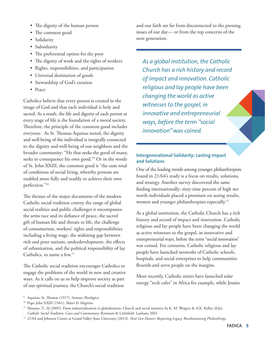- The dignity of the human person
- The common good
- Solidarity
- Subsidiarity
- The preferential option for the poor
- The dignity of work and the rights of workers
- Rights, responsibilities, and participation
- Universal destination of goods
- Stewardship of God's creation
- Peace

Catholics believe that every person is created in the image of God and that each individual is holy and sacred. As a result, the life and dignity of each person at every stage of life is the foundation of a moral society. Therefore, the principle of the common good includes everyone. As St. Thomas Aquinas noted, the dignity and well-being of the individual is integrally connected to the dignity and well-being of our neighbors and the broader community: "He that seeks the good of many, seeks in consequence his own good."9 Or in the words of St. John XXIII, the common good is "the sum total of conditions of social living, whereby persons are enabled more fully and readily to achieve their own perfection."10

The themes of the major documents of the modern Catholic social tradition convey the range of global social realities and public challenges it encompasses: the arms race and its defiance of peace, the sacred gift of human life and threats to life, the challenge of consumerism, workers' rights and responsibilities including a living wage, the widening gap between rich and poor nations, underdevelopment, the effects of urbanization, and the political responsibility of lay Catholics, to name a few.<sup>11</sup>

The Catholic social tradition encourages Catholics to engage the problems of the world in new and creative ways. As it calls on us to help improve society as part of our spiritual journey, the Church's social tradition

and our faith are far from disconnected to the pressing issues of our day— or from the top concerns of the next generation.

*As a global institution, the Catholic Church has a rich history and record of impact and innovation. Catholic religious and lay people have been changing the world as active witnesses to the gospel, in innovative and entrepreneurial ways, before the term "social innovation" was coined.*

#### **Intergenerational Solidarity: Lasting Impact and Solutions**

One of the leading trends among younger philanthropists found in 21/64's study is a focus on results, solutions, and strategy. Another survey discovered the same finding internationally: sixty-nine percent of high net worth individuals placed a premium on seeing results, women and younger philanthropists especially.<sup>12</sup>

As a global institution, the Catholic Church has a rich history and record of impact and innovation. Catholic religious and lay people have been changing the world as active witnesses to the gospel, in innovative and entrepreneurial ways, before the term "social innovation" was coined. For centuries, Catholic religious and lay people have launched networks of Catholic schools, hospitals, and social enterprises to help communities flourish and serve people on the margins.

More recently, Catholic sisters have launched solar energy "tech cafes" in Africa for example, while Jesuits

<sup>9</sup> Aquinas, St. Thomas (1917). *Summa Theologica.*

<sup>10</sup> Pope John XXIII (1961). *Mater Et Magistra.*

<sup>&</sup>lt;sup>11</sup> Massaro, T., SJ (2005). From industrialization to globalization: Church and social ministry In K. M. Weigert & A.K. Kelley (Eds), *Catholic Social Tradition: Cases and Commentary.* Rowman & Littlefield: Lanham, MD.

<sup>&</sup>lt;sup>12</sup> 21/64 and Johnson Center at Grand Valley State University (2013). *Next Gen Donors: Respecting Legacy, Revolutionizing Philanthropy.*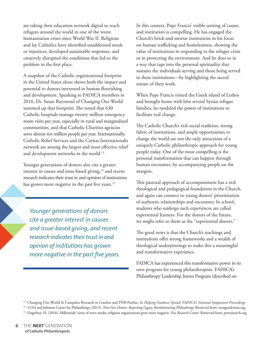are taking their education network digital to reach refugees around the world in one of the worst humanitarian crises since World War II. Religious and lay Catholics have identified unaddressed needs or injustices, developed sustainable responses, and creatively disrupted the conditions that led to the problem in the first place.

A snapshot of the Catholic organizational footprint in the United States alone shows both the impact and potential to donors interested in human flourishing and development. Speaking to FADICA members in 2016, Dr. Susan Raymond of Changing Our World summed up that footprint. She noted that 630 Catholic hospitals manage twenty million emergency room visits per year, especially in rural and marginalized communities, and that Catholic Charities agencies serve almost ten million people per year. Internationally, Catholic Relief Services and the Caritas Internationalis network are among the largest and most effective relief and development networks in the world.<sup>13</sup>

Younger generations of donors also cite a greater interest in causes and issue-based giving,<sup>14</sup> and recent research indicates their trust in and opinion of institutions has grown more negative in the past five years.<sup>15</sup>

*Younger generations of donors cite a greater interest in causes and issue-based giving, and recent research indicates their trust in and opinion of institutions has grown more negative in the past five years.* In this context, Pope Francis' visible uniting of causes and institution is compelling. He has engaged the Church's brick-and-mortar institutions in his focus on human trafficking and homelessness, showing the value of institutions in responding to the refugee crisis or in protecting the environment. And he does so in a way that taps into the personal spirituality that sustains the individuals serving and those being served in these institutions—by highlighting the sacred nature of their work.

When Pope Francis visited the Greek island of Lesbos and brought home with him several Syrian refugee families, he modeled the power of institutions to facilitate real change.

The Catholic Church's rich social tradition, strong fabric of institutions, and ample opportunities to change the world are not the only attractions of a uniquely Catholic philanthropic approach for young people today. One of the most compelling is the personal transformation that can happen through human encounter, by accompanying people on the margins.

This pastoral approach of accompaniment has a rich theological and pedagogical foundation in the Church, and again can connect to young donors' prioritization of authentic relationships and encounter. In school, students who undergo such experiences are called experiential learners. For the donors of the future, we might refer to them as the "experiential donors."

The good news is that the Church's teachings and institutions offer strong frameworks and a wealth of theological underpinnings to make this a meaningful and transformative experience.

FADICA has experienced this transformative power in its own program for young philanthropists. FADICA's Philanthropy Leadership Intern Program (described on

<sup>13</sup> Changing Our World & Campden Research in London and PNB Paribas. In Helping Goodness Spread: FADICA's National Symposium Proceedings.

<sup>14</sup> 21/64 and Johnson Center for Philanthropy (2013). *Next Gen Donors: Respecting Legacy, Revolutionizing Philanthropy.* Retrieved from: nextgendonors.org.

<sup>15</sup> Fingerhut, H. (2016). Millennials' views of news media, religious organizations grow more negative. *Pew Research Center*. Retrieved from: pewresearch.org.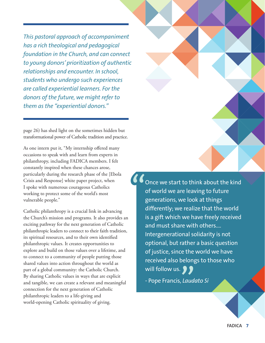*This pastoral approach of accompaniment has a rich theological and pedagogical foundation in the Church, and can connect to young donors' prioritization of authentic relationships and encounter. In school, students who undergo such experiences are called experiential learners. For the donors of the future, we might refer to them as the "experiential donors."*

page 26) has shed light on the sometimes hidden but transformational power of Catholic tradition and practice.

As one intern put it, "My internship offered many occasions to speak with and learn from experts in philanthropy, including FADICA members. I felt constantly inspired when these chances arose, particularly during the research phase of the [Ebola Crisis and Response] white paper project, when I spoke with numerous courageous Catholics working to protect some of the world's most vulnerable people."

Catholic philanthropy is a crucial link in advancing the Church's mission and programs. It also provides an exciting pathway for the next generation of Catholic philanthropic leaders to connect to their faith tradition, its spiritual resources, and to their own identified philanthropic values. It creates opportunities to explore and build on those values over a lifetime, and to connect to a community of people putting those shared values into action throughout the world as part of a global community: the Catholic Church. By sharing Catholic values in ways that are explicit and tangible, we can create a relevant and meaningful connection for the next generation of Catholic philanthropic leaders to a life-giving and world-opening Catholic spirituality of giving.

Once we start to think about the kind of world we are leaving to future generations, we look at things differently; we realize that the world is a gift which we have freely received and must share with others.… Intergenerational solidarity is not optional, but rather a basic question of justice, since the world we have received also belongs to those who will follow us.  $\sqrt{ }$ 

- Pope Francis, *Laudato Si*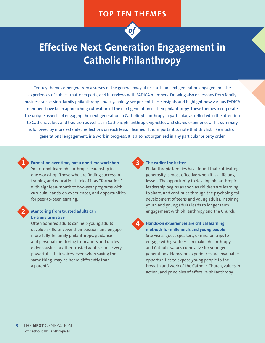#### **TOP TEN THEMES**



## **Effective Next Generation Engagement in Catholic Philanthropy**

Ten key themes emerged from a survey of the general body of research on next generation engagement, the experiences of subject matter experts, and interviews with FADICA members. Drawing also on lessons from family business succession, family philanthropy, and psychology, we present these insights and highlight how various FADICA members have been approaching cultivation of the next generation in their philanthropy. These themes incorporate the unique aspects of engaging the next generation in Catholic philanthropy in particular, as reflected in the attention to Catholic values and tradition as well as in Catholic philanthropic vignettes and shared experiences. This summary is followed by more extended reflections on each lesson learned. It is important to note that this list, like much of generational engagement, is a work in progress. It is also not organized in any particular priority order.



#### **Formation over time, not a one-time workshop**

You cannot learn philanthropic leadership in one workshop. Those who are finding success in training and education think of it as "formation," with eighteen-month to two-year programs with curricula, hands-on experiences, and opportunities for peer-to-peer learning.

## **2**

#### **Mentoring from trusted adults can be transformative**

Often admired adults can help young adults develop skills, uncover their passion, and engage more fully. In family philanthropy, guidance and personal mentoring from aunts and uncles, older cousins, or other trusted adults can be very powerful—their voices, even when saying the same thing, may be heard differently than a parent's.



#### **The earlier the better**

Philanthropic families have found that cultivating generosity is most effective when it is a lifelong lesson. The opportunity to develop philanthropic leadership begins as soon as children are learning to share, and continues through the psychological development of teens and young adults. Inspiring youth and young adults leads to longer term engagement with philanthropy and the Church.



#### **Hands-on experiences are critical learning methods for millennials and young people**

Site visits, guest speakers, or mission trips to engage with grantees can make philanthropy and Catholic values come alive for younger generations. Hands-on experiences are invaluable opportunities to expose young people to the breadth and work of the Catholic Church, values in action, and principles of effective philanthropy.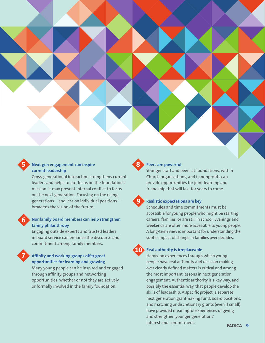

#### **Next gen engagement can inspire current leadership**

Cross-generational interaction strengthens current leaders and helps to put focus on the foundation's mission. It may prevent internal conflict to focus on the next generation. Focusing on the rising generations—and less on individual positions broadens the vision of the future.

#### **Nonfamily board members can help strengthen family philanthropy**

Engaging outside experts and trusted leaders in board service can enhance the discourse and commitment among family members.

#### **Affinity and working groups offer great opportunities for learning and growing**

**7**

**6**

**5**

Many young people can be inspired and engaged through affinity groups and networking opportunities, whether or not they are actively or formally involved in the family foundation.

### **8**

#### **Peers are powerful**

Younger staff and peers at foundations, within Church organizations, and in nonprofits can provide opportunities for joint learning and friendship that will last for years to come.



**10**

#### **Realistic expectations are key**

Schedules and time commitments must be accessible for young people who might be starting careers, families, or are still in school. Evenings and weekends are often more accessible to young people. A long-term view is important for understanding the subtle impact of change in families over decades.

#### **Real authority is irreplaceable**

Hands-on experiences through which young people have real authority and decision making over clearly defined matters is critical and among the most important lessons in next generation engagement. Authentic authority is a key way, and possibly the essential way, that people develop the skills of leadership. A specific project, a separate next generation grantmaking fund, board positions, and matching or discretionary grants (even if small) have provided meaningful experiences of giving and strengthen younger generations' interest and commitment.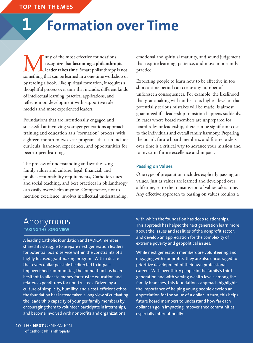**1**

# **Formation over Time**

Many of the most effective foundations<br>
recognize that **becoming a philanthropic**<br>
something that can be learned in a one-time workshop or recognize that **becoming a philanthropic leader takes time**. Smart philanthropy is not by reading a book. Like spiritual formation, it requires a thoughtful process over time that includes different kinds of intellectual learning, practical applications, and reflection on development with supportive role models and more experienced leaders.

Foundations that are intentionally engaged and successful at involving younger generations approach training and education as a "formation" process, with eighteen-month to two-year programs that can include curricula, hands-on experiences, and opportunities for peer-to-peer learning.

The process of understanding and synthesizing family values and culture, legal, financial, and public accountability requirements, Catholic values and social teaching, and best practices in philanthropy can easily overwhelm anyone. Competence, not to mention excellence, involves intellectual understanding, emotional and spiritual maturity, and sound judgement that require learning, patience, and most importantly practice.

Expecting people to learn how to be effective in too short a time period can create any number of unforeseen consequences. For example, the likelihood that grantmaking will not be at its highest level or that potentially serious mistakes will be made, is almost guaranteed if a leadership transition happens suddenly. In cases where board members are unprepared for board roles or leadership, there can be significant costs to the individuals and overall family harmony. Preparing the board, future board members, and future leaders over time is a critical way to advance your mission and to invest in future excellence and impact.

#### **Passing on Values**

One type of preparation includes explicitly passing on values. Just as values are learned and developed over a lifetime, so to the transmission of values takes time. Any effective approach to passing on values requires a

### Anonymous **TAKING THE LONG VIEW**

A leading Catholic foundation and FADICA member shared its struggle to prepare next generation leaders for potential board service within the constraints of a highly focused grantmaking program. With a desire that every dollar possible be directed to impact impoverished communities, the foundation has been hesitant to allocate money for trustee education and related expenditures for non-trustees. Driven by a culture of simplicity, humility, and a cost-efficient ethos, the foundation has instead taken a long view of cultivating the leadership capacity of younger family members by encouraging them to volunteer, participate in internships, and become involved with nonprofits and organizations

with which the foundation has deep relationships. This approach has helped the next generation learn more about the issues and realities of the nonprofit sector, and develop an appreciation for the complexity of extreme poverty and geopolitical issues.

While next generation members are volunteering and engaging with nonprofits, they are also encouraged to prioritize development of their own professional careers. With over thirty people in the family's third generation and with varying wealth levels among the family branches, this foundation's approach highlights the importance of helping young people develop an appreciation for the value of a dollar. In turn, this helps future board members to understand how far each dollar can go in impacting impoverished communities, especially internationally.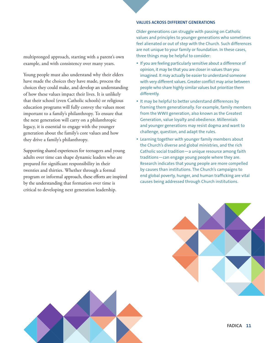multipronged approach, starting with a parent's own example, and with consistency over many years.

Young people must also understand why their elders have made the choices they have made, process the choices they could make, and develop an understanding of how these values impact their lives. It is unlikely that their school (even Catholic schools) or religious education programs will fully convey the values most important to a family's philanthropy. To ensure that the next generation will carry on a philanthropic legacy, it is essential to engage with the younger generation about the family's core values and how they drive a family's philanthropy.

Supporting shared experiences for teenagers and young adults over time can shape dynamic leaders who are prepared for significant responsibility in their twenties and thirties. Whether through a formal program or informal approach, these efforts are inspired by the understanding that formation over time is critical to developing next generation leadership.

#### **VALUES ACROSS DIFFERENT GENERATIONS**

Older generations can struggle with passing on Catholic values and principles to younger generations who sometimes feel alienated or out of step with the Church. Such differences are not unique to your family or foundation. In these cases, three things may be helpful to consider:

- If you are feeling particularly sensitive about a difference of opinion, it may be that you are closer in values than you imagined. It may actually be easier to understand someone with very different values. Greater conflict may arise between people who share highly similar values but prioritize them differently.
- It may be helpful to better understand differences by framing them generationally. For example, family members from the WWII generation, also known as the Greatest Generation, value loyalty and obedience. Millennials and younger generations may resist dogma and want to challenge, question, and adapt the rules.
- Learning together with younger family members about the Church's diverse and global ministries, and the rich Catholic social tradition—a unique resource among faith traditions—can engage young people where they are. Research indicates that young people are more compelled by causes than institutions. The Church's campaigns to end global poverty, hunger, and human trafficking are vital causes being addressed through Church institutions.



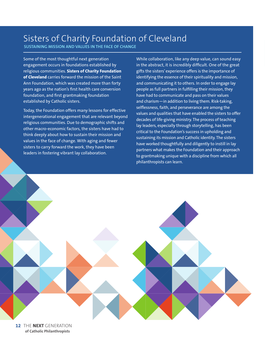## Sisters of Charity Foundation of Cleveland

**SUSTAINING MISSION AND VALUES IN THE FACE OF CHANGE**

Some of the most thoughtful next generation engagement occurs in foundations established by religious communities. **Sisters of Charity Foundation of Cleveland** carries forward the mission of the Saint Ann Foundation, which was created more than forty years ago as the nation's first health care conversion foundation, and first grantmaking foundation established by Catholic sisters.

Today, the Foundation offers many lessons for effective intergenerational engagement that are relevant beyond religious communities. Due to demographic shifts and other macro-economic factors, the sisters have had to think deeply about how to sustain their mission and values in the face of change. With aging and fewer sisters to carry forward the work, they have been leaders in fostering vibrant lay collaboration.

While collaboration, like any deep value, can sound easy in the abstract, it is incredibly difficult. One of the great gifts the sisters' experience offers is the importance of identifying the essence of their spirituality and mission, and communicating it to others. In order to engage lay people as full partners in fulfilling their mission, they have had to communicate and pass on their values and charism—in addition to living them. Risk-taking, selflessness, faith, and perseverance are among the values and qualities that have enabled the sisters to offer decades of life-giving ministry. The process of teaching lay leaders, especially through storytelling, has been critical to the Foundation's success in upholding and sustaining its mission and Catholic identity. The sisters have worked thoughtfully and diligently to instill in lay partners what makes the Foundation and their approach to grantmaking unique with a discipline from which all philanthropists can learn.



**12** THE **NEXT** GENERATION **of Catholic Philanthropists**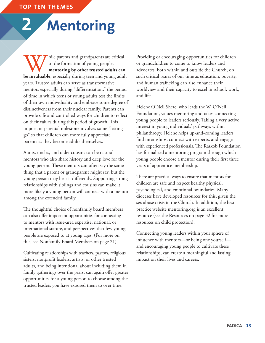

While parents and grandparents are critical<br>to the formation of young people,<br>**be invaluable**, especially during teen and young adult to the formation of young people, **mentoring by other trusted adults can**  years. Trusted adults can serve as transformative mentors especially during "differentiation," the period of time in which teens or young adults test the limits of their own individuality and embrace some degree of distinctiveness from their nuclear family. Parents can provide safe and controlled ways for children to reflect on their values during this period of growth. This important parental milestone involves some "letting go" so that children can more fully appreciate parents as they become adults themselves.

Aunts, uncles, and older cousins can be natural mentors who also share history and deep love for the young person. These mentors can often say the same thing that a parent or grandparent might say, but the young person may hear it differently. Supporting strong relationships with siblings and cousins can make it more likely a young person will connect with a mentor among the extended family.

The thoughtful choice of nonfamily board members can also offer important opportunities for connecting to mentors with issue-area expertise, national, or international stature, and perspectives that few young people are exposed to at young ages. (For more on this, see Nonfamily Board Members on page 21).

Cultivating relationships with teachers, pastors, religious sisters, nonprofit leaders, artists, or other trusted adults, and being intentional about including them in family gatherings over the years, can again offer greater opportunities for a young person to choose among the trusted leaders you have exposed them to over time.

Providing or encouraging opportunities for children or grandchildren to come to know leaders and advocates, both within and outside the Church, on such critical issues of our time as education, poverty, and human trafficking can also enhance their worldview and their capacity to excel in school, work, and life.

Helene O'Neil Shere, who leads the W. O'Neil Foundation, values mentoring and takes connecting young people to leaders seriously. Taking a very active interest in young individuals' pathways within philanthropy, Helene helps up-and-coming leaders find internships, connect with experts, and engage with experienced professionals. The Raskob Foundation has formalized a mentoring program through which young people choose a mentor during their first three years of apprentice membership.

There are practical ways to ensure that mentors for children are safe and respect healthy physical, psychological, and emotional boundaries. Many dioceses have developed resources for this, given the sex abuse crisis in the Church. In addition, the best practice website mentoring.org is an excellent resource (see the Resources on page 32 for more resources on child protection).

Connecting young leaders within your sphere of influence with mentors—or being one yourself and encouraging young people to cultivate these relationships, can create a meaningful and lasting impact on their lives and careers.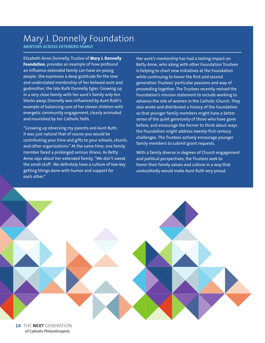### Mary J. Donnelly Foundation

**MENTORS ACROSS EXTENDED FAMILY**

Elizabeth Anne Donnelly, Trustee of **Mary J. Donnelly Foundation**, provides an example of how profound an influence extended family can have on young people. She expresses a deep gratitude for the love and understated mentorship of her beloved aunt and godmother, the late Ruth Donnelly Egler. Growing up in a very close family with her aunt's family only ten blocks away, Donnelly was influenced by Aunt Ruth's example of balancing care of her eleven children with energetic community engagement, clearly animated and nourished by her Catholic faith.

"Growing up observing my parents and Aunt Ruth, it was just natural that of course you would be contributing your time and gifts to your schools, church, and other organizations." At the same time, one family member faced a prolonged serious illness. As Betty Anne says about her extended family, "We don't sweat the small stuff. We definitely have a culture of low-key getting things done with humor and support for each other."

Her aunt's mentorship has had a lasting impact on Betty Anne, who along with other Foundation Trustees is helping to chart new initiatives at the Foundation while continuing to honor the first and second generation Trustees' particular passions and way of proceeding together. The Trustees recently revised the Foundation's mission statement to include working to advance the role of women in the Catholic Church. They also wrote and distributed a history of the Foundation so that younger family members might have a better sense of the quiet generosity of those who have gone before, and encourage the former to think about ways the Foundation might address twenty-first century challenges. The Trustees actively encourage younger family members to submit grant requests.

With a family diverse in degrees of Church engagement and political perspectives, the Trustees seek to honor their family values and culture in a way that undoubtedly would make Aunt Ruth very proud.

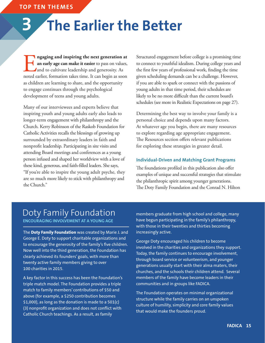**3**

# **The Earlier the Better**

E**ngaging and inspiring the next generation at an early age can make it easier** to pass on values, A and to cultivate leadership and generosity. As noted earlier, formation takes time. It can begin as soon as children are learning to share, and the opportunity to engage continues through the psychological development of teens and young adults.

Many of our interviewees and experts believe that inspiring youth and young adults early also leads to longer-term engagement with philanthropy and the Church. Kerry Robinson of the Raskob Foundation for Catholic Activities recalls the blessings of growing up surrounded by extraordinary leaders in faith and nonprofit leadership. Participating in site visits and attending Board meetings and conferences as a young person infused and shaped her worldview with a love of these kind, generous, and faith-filled leaders. She says, "If you're able to inspire the young adult psyche, they are so much more likely to stick with philanthropy and the Church."

Structured engagement before college is a promising time to connect to youthful idealism. During college years and the first few years of professional work, finding the time given scheduling demands can be a challenge. However, if you are able to spark or connect with the passions of young adults in that time period, their schedules are likely to be no more difficult than the current board's schedules (see more in Realistic Expectations on page 27).

Determining the best way to involve your family is a personal choice and depends upon many factors. At whatever age you begin, there are many resources to explore regarding age appropriate engagement. The Resources section offers relevant publications for exploring these strategies in greater detail.

#### **Individual-Driven and Matching Grant Programs**

The foundations profiled in this publication also offer examples of unique and successful strategies that stimulate the philanthropic spirit among younger generations. The Doty Family Foundation and the Conrad N. Hilton

### Doty Family Foundation

**ENCOURAGING INVOLVEMENT AT A YOUNG AGE**

The **Doty Family Foundation** was created by Marie J. and George E. Doty to support charitable organizations and to encourage the generosity of the family's five children. Now well into the third generation, the Foundation has clearly achieved its founders' goals, with more than twenty active family members giving to over 100 charities in 2015.

A key factor in this success has been the Foundation's triple match model. The Foundation provides a triple match to family members' contributions of \$50 and above (for example, a \$250 contribution becomes \$1,000), as long as the donation is made to a 501(c) (3) nonprofit organization and does not conflict with Catholic Church teachings. As a result, as family

members graduate from high school and college, many have begun participating in the family's philanthropy, with those in their twenties and thirties becoming increasingly active.

George Doty encouraged his children to become involved in the charities and organizations they support. Today, the family continues to encourage involvement, through board service or volunteerism, and younger generations usually start with their alma maters, their churches, and the schools their children attend. Several members of the family have become leaders in their communities and in groups like FADICA.

The Foundation operates on minimal organizational structure while the family carries on an unspoken culture of humility, simplicity and core family values that would make the founders proud.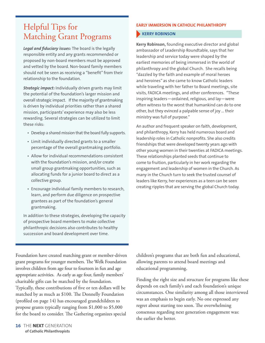### Helpful Tips for Matching Grant Programs

*Legal and fiduciary issues:* The board is the legally responsible entity and any grants recommended or proposed by non-board members must be approved and vetted by the board. Non-board family members should not be seen as receiving a "benefit" from their relationship to the foundation.

*Strategic impact:* Individually driven grants may limit the potential of the foundation's larger mission and overall strategic impact. If the majority of grantmaking is driven by individual priorities rather than a shared mission, participants' experience may also be less rewarding. Several strategies can be utilized to limit these risks:

- Develop a shared mission that the board fully supports.
- Limit individually directed grants to a smaller percentage of the overall grantmaking portfolio.
- Allow for individual recommendations consistent with the foundation's mission, and/or create small group grantmaking opportunities, such as allocating funds for a junior board to direct as a collective group.
- Encourage individual family members to research, learn, and perform due diligence on prospective grantees as part of the foundation's general grantmaking.

In addition to these strategies, developing the capacity of prospective board members to make collective philanthropic decisions also contributes to healthy succession and board development over time.

#### **EARLY IMMERSION IN CATHOLIC PHILANTHROPY**

#### **KERRY ROBINSON**

**Kerry Robinson,** founding executive director and global ambassador of Leadership Roundtable, says that her leadership and service today were shaped by the earliest memories of being immersed in the world of philanthropy and the global Church. She recalls being "dazzled by the faith and example of moral heroes and heroines" as she came to know Catholic leaders while traveling with her father to Board meetings, site visits, FADICA meetings, and other conferences. "These inspiring leaders—ordained, religious, and lay—were often witness to the worst that humankind can do to one other, but they evinced a palpable sense of joy … their ministry was full of purpose."

An author and frequent speaker on faith, development, and philanthropy, Kerry has held numerous board and leadership roles in Catholic nonprofits. She also credits friendships that were developed twenty years ago with other young women in their twenties at FADICA meetings. These relationships planted seeds that continue to come to fruition, particularly in her work regarding the engagement and leadership of women in the Church. As many in the Church turn to seek the trusted counsel of leaders like Kerry, her experiences as a teen can be seen creating ripples that are serving the global Church today.

Foundation have created matching grant or member-driven grant programs for younger members. The Welk Foundation involves children from age four to fourteen in fun and age appropriate activities. As early as age four, family members' charitable gifts can be matched by the foundation. Typically, these contributions of five or ten dollars will be matched by as much as \$100. The Donnelly Foundation (profiled on page 14) has encouraged grandchildren to propose grants typically ranging from \$1,000 to \$5,000 for the board to consider. The Gathering organizes special

children's programs that are both fun and educational, allowing parents to attend board meetings and educational programming.

Finding the right size and structure for programs like these depends on each family's and each foundation's unique circumstances. One similarity among all those interviewed was an emphasis to begin early. No one expressed any regret about starting too soon. The overwhelming consensus regarding next generation engagement was: the earlier the better.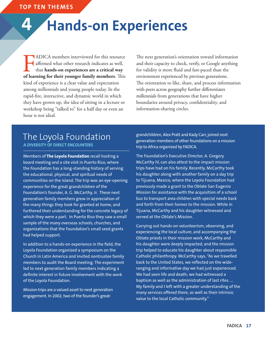**4**

# **Hands-on Experiences**

ADICA members interviewed for this resource affirmed what other research indicates as well, that **hands-on experiences are a critical way** of learning for their younger family members. This affirmed what other research indicates as well, that **hands-on experiences are a critical way**  kind of experience is a clear value and expectation among millennials and young people today. In the rapid-fire, interactive, and dynamic world in which they have grown up, the idea of sitting in a lecture or workshop being "talked to" for a half day or even an hour is not ideal.

The next generation's orientation toward information and their capacity to check, verify, or Google anything for validity is more fluid and fast-paced than the environment experienced by previous generations. The orientation to like, share, and process information with peers across geography further differentiates millennials from generations that have higher boundaries around privacy, confidentiality, and information-sharing circles.

#### The Loyola Foundation **A DIVERSITY OF DIRECT ENCOUNTERS**

Members of **The Loyola Foundation** recall hosting a board meeting and a site visit in Puerto Rico, where the Foundation has a long-standing history of serving the educational, physical, and spiritual needs of communities on the island. The trip was an eye-opening experience for the great grandchildren of the Foundation's founder, A. G. McCarthy, Jr. These next generation family members grew in appreciation of the many things they took for granted at home, and furthered their understanding for the concrete legacy of which they were a part. In Puerto Rico they saw a small sample of the many overseas schools, churches, and organizations that the Foundation's small seed grants had helped support.

In addition to a hands-on experience in the field, the Loyola Foundation organized a symposium on the Church in Latin America and invited nontrustee family members to audit the Board meeting. The experiment led to next generation family members indicating a definite interest in future involvement with the work of the Loyola Foundation.

Mission trips are a valued asset to next generation engagement. In 2002, two of the founder's greatgrandchildren, Alex Pratt and Kady Carr, joined next generation members of other foundations on a mission trip to Africa organized by FADICA.

The Foundation's Executive Director, A. Gregory McCarthy IV, can also attest to the impact mission trips have had on his family. Recently, McCarthy took his daughter along with another family on a day trip to Tijuana, Mexico, where the Loyola Foundation had previously made a grant to the Oblate San Eugenio Mission for assistance with the acquisition of a school bus to transport area children with special needs back and forth from their homes to the mission. While in Tijuana, McCarthy and his daughter witnessed and served at the Oblate's Mission.

Carrying out hands-on volunteerism, observing, and experiencing the local culture, and accompanying the Oblate priests in their mission work, McCarthy and his daughter were deeply impacted, and the mission trip helped to educate his daughter about responsible Catholic philanthropy. McCarthy says, "As we travelled back to the United States, we reflected on the wideranging and informative day we had just experienced. We had seen life and death; we had witnessed a baptism as well as the administration of last rites. … My family and I left with a greater understanding of the many services offered there, as well as their intrinsic value to the local Catholic community."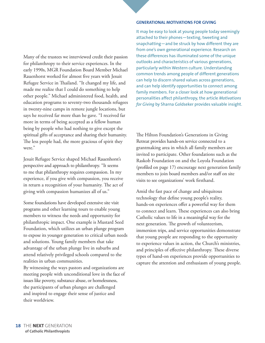Many of the trustees we interviewed credit their passion for philanthropy to their service experiences. In the early 1990s, MGR Foundation Board Member Michael Rauenhorst worked for almost five years with Jesuit Refugee Service in Thailand. "It changed my life, and made me realize that I could do something to help other people." Michael administered food, health, and education programs to seventy-two thousands refugees in twenty-nine camps in remote jungle locations, but says he received far more than he gave. "I received far more in terms of being accepted as a fellow human being by people who had nothing to give except the spiritual gifts of acceptance and sharing their humanity. The less people had, the more gracious of spirit they were."

Jesuit Refugee Service shaped Michael Rauenhorst's perspective and approach to philanthropy. "It seems to me that philanthropy requires compassion. In my experience, if you give with compassion, you receive in return a recognition of your humanity. The act of giving with compassion humanizes all of us."

Some foundations have developed extensive site visit programs and other learning tours to enable young members to witness the needs and opportunity for philanthropic impact. One example is Mustard Seed Foundation, which utilizes an urban plunge program to expose its younger generation to critical urban needs and solutions. Young family members that take advantage of the urban plunge live in suburbs and attend relatively privileged schools compared to the realities in urban communities.

By witnessing the ways pastors and organizations are meeting people with unconditional love in the face of issues like poverty, substance abuse, or homelessness, the participants of urban plunges are challenged and inspired to engage their sense of justice and their worldview.

#### **GENERATIONAL MOTIVATIONS FOR GIVING**

It may be easy to look at young people today seemingly attached to their phones—texting, tweeting and snapchatting—and be struck by how different they are from one's own generational experience. Research on these differences has illuminated some of the unique outlooks and characteristics of various generations, particularly within Western culture. Understanding common trends among people of different generations can help to discern shared values across generations, and can help identify opportunities to connect among family members. For a closer look at how generational personalities affect philanthropy, the article *Motivations for Giving* by Sharna Goldseker provides valuable insight.

The Hilton Foundation's Generations in Giving Retreat provides hands-on service connected to a grantmaking area in which all family members are invited to participate. Other foundations such as the Raskob Foundation on and the Loyola Foundation (profiled on page 17) encourage next generation family members to join board members and/or staff on site visits to see organizations' work firsthand.

Amid the fast pace of change and ubiquitous technology that define young people's reality, hands-on experiences offer a powerful way for them to connect and learn. These experiences can also bring Catholic values to life in a meaningful way for the next generation. The growth of volunteerism, immersion trips, and service opportunities demonstrate that young people are responding to the opportunity to experience values in action, the Church's ministries, and principles of effective philanthropy. These diverse types of hand-on experiences provide opportunities to capture the attention and enthusiasm of young people.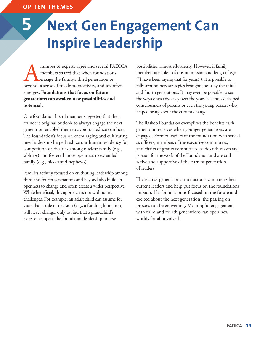## **Next Gen Engagement Can Inspire Leadership 5**

Anumber of experts agree and several FADICA<br>
engage the family's third generation or<br>
beyond, a sense of freedom, creativity, and joy often members shared that when foundations engage the family's third generation or emerges. **Foundations that focus on future generations can awaken new possibilities and potential.** 

One foundation board member suggested that their founder's original outlook to always engage the next generation enabled them to avoid or reduce conflicts. The foundation's focus on encouraging and cultivating new leadership helped reduce our human tendency for competition or rivalries among nuclear family (e.g., siblings) and fostered more openness to extended family (e.g., nieces and nephews).

Families actively focused on cultivating leadership among third and fourth generations and beyond also build an openness to change and often create a wider perspective. While beneficial, this approach is not without its challenges. For example, an adult child can assume for years that a rule or decision (e.g., a funding limitation) will never change, only to find that a grandchild's experience opens the foundation leadership to new

possibilities, almost effortlessly. However, if family members are able to focus on mission and let go of ego ("I have been saying that for years!"), it is possible to rally around new strategies brought about by the third and fourth generations. It may even be possible to see the ways one's advocacy over the years has indeed shaped consciousness of parents or even the young person who helped bring about the current change.

The Raskob Foundation exemplifies the benefits each generation receives when younger generations are engaged. Former leaders of the foundation who served as officers, members of the executive committees, and chairs of grants committees exude enthusiasm and passion for the work of the Foundation and are still active and supportive of the current generation of leaders.

These cross-generational interactions can strengthen current leaders and help put focus on the foundation's mission. If a foundation is focused on the future and excited about the next generation, the passing on process can be enlivening. Meaningful engagement with third and fourth generations can open new worlds for all involved.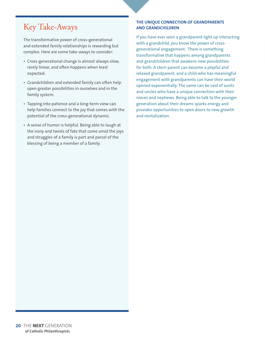## Key Take-Aways

The transformative power of cross-generational and extended family relationships is rewarding but complex. Here are some take-aways to consider:

- Cross-generational change is almost always slow, rarely linear, and often happens when least expected.
- Grandchildren and extended family can often help open greater possibilities in ourselves and in the family system.
- Tapping into patience and a long-term view can help families connect to the joy that comes with the potential of the cross-generational dynamic.
- A sense of humor is helpful. Being able to laugh at the irony and twists of fate that come amid the joys and struggles of a family is part and parcel of the blessing of being a member of a family.

#### **THE UNIQUE CONNECTION OF GRANDPARENTS AND GRANDCHILDREN**

If you have ever seen a grandparent light up interacting with a grandchild, you know the power of crossgenerational engagement. There is something transformative that happens among grandparents and grandchildren that awakens new possibilities for both. A stern parent can become a playful and relaxed grandparent, and a child who has meaningful engagement with grandparents can have their world opened exponentially. The same can be said of aunts and uncles who have a unique connection with their nieces and nephews. Being able to talk to the younger generation about their dreams sparks energy and provides opportunities to open doors to new growth and revitalization.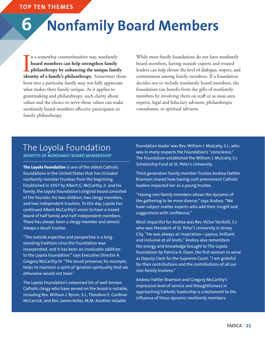

# **Nonfamily Board Members**

In a somewhat counterintuitive way, nonfamily<br>board members can help strengthen family<br>philanthropy by enhancing the unique family<br>identity of a family's philanthropy. Sometimes those n a somewhat counterintuitive way, nonfamily **board members can help strengthen family philanthropy by enhancing the unique family**  born into a particular family may not fully appreciate what makes their family unique. As it applies to grantmaking and philanthropy, such clarity about values and the choice to serve those values can make nonfamily board members effective participants in family philanthropy.

While most family foundations do not have nonfamily board members, having outside experts and trusted leaders can help elevate the level of dialogue, respect, and commitment among family members. If a foundation decides not to include nonfamily board members, the foundation can benefit from the gifts of nonfamily members by involving them on staff or as issue-area experts, legal and fiduciary advisors, philanthropic consultants, or spiritual advisors.

## The Loyola Foundation

**BENEFITS OF NONFAMILY BOARD MEMBERSHIP**

**The Loyola Foundation** is one of the oldest Catholic foundations in the United States that has included nonfamily member trustees from the beginning. Established in 1957 by Albert G. McCarthy, Jr. and his family, the Loyola Foundation's original board consisted of the founder, his two children, two clergy members, and two independent trustees. To this day, Loyola has continued Albert McCarthy's vision to have a mixed board of half family and half independent members. There has always been a clergy member and almost always a Jesuit trustee.

"The outside expertise and perspective is a longstanding tradition since the Foundation was incorporated, and it has been an invaluable addition to the Loyola Foundation." says Executive Director A. Gregory McCarthy IV. "The Jesuit presence, for example, helps to maintain a spirit of Ignatian spirituality that we otherwise would not have."

The Loyola Foundation's esteemed list of well-known Catholic clergy who have served on the board is notable, including Rev. William J. Byron, S.J., Theodore E. Cardinal McCarrick, and Rev. James Keller, M.M. Another notable

foundation leader was Rev. William J. Mulcahy, S.J., who was in many respects the Foundation's "conscience." The Foundation established the William J. Mulcahy, S.J. Scholarship Fund at St. Peter's University.

Third generation family member Trustee Andrea Hattler Bramson shared how having such preeminent Catholic leaders impacted her as a young trustee.

"Having non-family members allows the dynamic of the gathering to be more diverse," says Andrea. "We have subject matter experts who add their insight and suggestions with confidence."

Most impactful for Andrea was Rev. Victor Yanitelli, S.J. who was President of St. Peter's University in Jersey City. "He was always an inspiration—joyous, brilliant, and inclusive at all levels." Andrea also remembers the energy and knowledge brought to The Loyola Foundation by Patricia A. Dean, the first woman to serve as Deputy Clerk for the Supreme Court. "I am grateful for their contributions and the contributions of all our non-family trustees."

Andrea Hattler Bramson and Gregory McCarthy's impressive level of service and thoughtfulness in approaching Catholic leadership is a testament to the influence of these dynamic nonfamily members.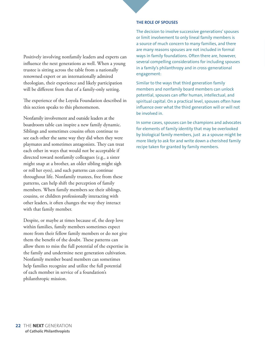Positively involving nonfamily leaders and experts can influence the next generations as well. When a young trustee is sitting across the table from a nationally renowned expert or an internationally admired theologian, their experience and likely participation will be different from that of a family-only setting.

The experience of the Loyola Foundation described in this section speaks to this phenomenon.

Nonfamily involvement and outside leaders at the boardroom table can inspire a new family dynamic. Siblings and sometimes cousins often continue to see each other the same way they did when they were playmates and sometimes antagonists. They can treat each other in ways that would not be acceptable if directed toward nonfamily colleagues (e.g., a sister might snap at a brother, an older sibling might sigh or roll her eyes), and such patterns can continue throughout life. Nonfamily trustees, free from these patterns, can help shift the perception of family members. When family members see their siblings, cousins, or children professionally interacting with other leaders, it often changes the way they interact with that family member.

Despite, or maybe at times because of, the deep love within families, family members sometimes expect more from their fellow family members or do not give them the benefit of the doubt. These patterns can allow them to miss the full potential of the expertise in the family and undermine next generation cultivation. Nonfamily member board members can sometimes help families recognize and utilize the full potential of each member in service of a foundation's philanthropic mission.

#### **THE ROLE OF SPOUSES**

The decision to involve successive generations' spouses or limit involvement to only lineal family members is a source of much concern to many families, and there are many reasons spouses are not included in formal ways in family foundations. Often there are, however, several compelling considerations for including spouses in a family's philanthropy and in cross-generational engagement:

Similar to the ways that third generation family members and nonfamily board members can unlock potential, spouses can offer human, intellectual, and spiritual capital. On a practical level, spouses often have influence over what the third generation will or will not be involved in.

In some cases, spouses can be champions and advocates for elements of family identity that may be overlooked by biological family members, just as a spouse might be more likely to ask for and write down a cherished family recipe taken for granted by family members.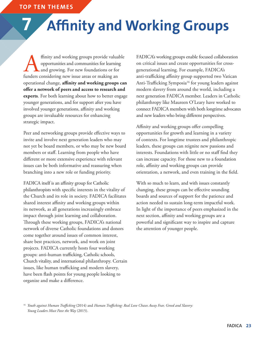**7**

# **Affinity and Working Groups**

ffinity and working groups provide valuable opportunities and communities for learning and growing. For new foundations or for funders considering new issue areas or making an operational change, **affinity and working groups can offer a network of peers and access to research and experts**. For both learning about how to better engage younger generations, and for support after you have involved younger generations, affinity and working groups are invaluable resources for enhancing strategic impact.

Peer and networking groups provide effective ways to invite and involve next generation leaders who may not yet be board members, or who may be new board members or staff. Learning from people who have different or more extensive experience with relevant issues can be both informative and reassuring when branching into a new role or funding priority.

FADICA itself is an affinity group for Catholic philanthropists with specific interests in the vitality of the Church and its role in society. FADICA facilitates shared interest affinity and working groups within its network, as all generations increasingly embrace impact through joint learning and collaboration. Through these working groups, FADICA's national network of diverse Catholic foundations and donors come together around issues of common interest, share best practices, network, and work on joint projects. FADICA currently hosts four working groups: anti-human trafficking, Catholic schools, Church vitality, and international philanthropy. Certain issues, like human trafficking and modern slavery, have been flash points for young people looking to organize and make a difference.

FADICA's working groups enable focused collaboration on critical issues and create opportunities for crossgenerational learning. For example, FADICA's anti-trafficking affinity group supported two Vatican Anti-Trafficking Symposia<sup>16</sup> for young leaders against modern slavery from around the world, including a next generation FADICA member. Leaders in Catholic philanthropy like Maureen O'Leary have worked to connect FADICA members with both longtime advocates and new leaders who bring different perspectives.

Affinity and working groups offer compelling opportunities for growth and learning in a variety of contexts. For longtime trustees and philanthropic leaders, these groups can reignite new passions and interests. Foundations with little or no staff find they can increase capacity. For those new to a foundation role, affinity and working groups can provide orientation, a network, and even training in the field.

With so much to learn, and with issues constantly changing, these groups can be effective sounding boards and sources of support for the patience and action needed to sustain long-term impactful work. In light of the importance of peers emphasized in the next section, affinity and working groups are a powerful and significant way to inspire and capture the attention of younger people.

<sup>16</sup> *Youth against Human Trafficking* (2014) and *Human Trafficking: Real Love Chases Away Fear, Greed and Slavery: Young Leaders Must Pave the Way* (2015).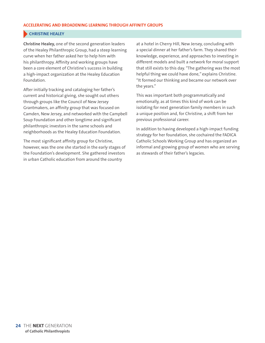#### **ACCELERATING AND BROADENING LEARNING THROUGH AFFINITY GROUPS**

#### **CHRISTINE HEALEY**

**Christine Healey,** one of the second generation leaders of the Healey Philanthropic Group, had a steep learning curve when her father asked her to help him with his philanthropy. Affinity and working groups have been a core element of Christine's success in building a high-impact organization at the Healey Education Foundation.

After initially tracking and cataloging her father's current and historical giving, she sought out others through groups like the Council of New Jersey Grantmakers, an affinity group that was focused on Camden, New Jersey, and networked with the Campbell Soup Foundation and other longtime and significant philanthropic investors in the same schools and neighborhoods as the Healey Education Foundation.

The most significant affinity group for Christine, however, was the one she started in the early stages of the Foundation's development. She gathered investors in urban Catholic education from around the country

at a hotel in Cherry Hill, New Jersey, concluding with a special dinner at her father's farm. They shared their knowledge, experience, and approaches to investing in different models and built a network for moral support that still exists to this day. "The gathering was the most helpful thing we could have done," explains Christine. "It formed our thinking and became our network over the years."

This was important both programmatically and emotionally, as at times this kind of work can be isolating for next generation family members in such a unique position and, for Christine, a shift from her previous professional career.

In addition to having developed a high-impact funding strategy for her foundation, she cochaired the FADICA Catholic Schools Working Group and has organized an informal and growing group of women who are serving as stewards of their father's legacies.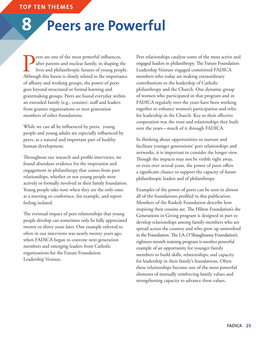**8**

# **Peers are Powerful**

**Peers are one of the most powerful influences,** after parents and nuclear family, in shaping the lives and philanthropic futures of young people. Although this lesson is closely related to the importance after parents and nuclear family, in shaping the lives and philanthropic futures of young people. of affinity and working groups, the power of peers goes beyond structured or formal learning and grantmaking groups. Peers are found everyday within an extended family (e.g., cousins), staff and leaders from grantee organizations or next generation members of other foundations.

While we can all be influenced by peers, young people and young adults are especially influenced by peers, as a natural and important part of healthy human development.

Throughout our research and profile interviews, we found abundant evidence for the inspiration and engagement in philanthropy that comes from peer relationships, whether or not young people were actively or formally involved in their family foundation. Young people take note when they are the only ones at a meeting or conference, for example, and report feeling isolated.

The eventual impact of peer relationships that young people develop can sometimes only be fully appreciated twenty or thirty years later. One example referred to often in our interviews was nearly twenty years ago, when FADICA began to convene next generation members and emerging leaders from Catholic organizations for the Future Foundation Leadership Venture.

Peer relationships catalyze some of the most active and engaged leaders in philanthropy. The Future Foundation Leadership Venture engaged committed FADICA members who today are making extraordinary contributions to the leadership of Catholic philanthropy and the Church. One dynamic group of women who participated in that program and in FADICA regularly over the years have been working together to enhance women's participation and roles for leadership in the Church. Key to their effective cooperation was the trust and relationships they built over the years—much of it through FADICA.

In thinking about opportunities to nurture and facilitate younger generations' peer relationships and networks, it is important to consider the longer view. Though the impacts may not be visible right away, or even over several years, the power of peers offers a significant chance to support the capacity of future philanthropic leaders and of philanthropy.

Examples of the power of peers can be seen in almost all of the foundations profiled in this publication. Members of the Raskob Foundation describe how inspiring their cousins are. The Hilton Foundation's the Generations in Giving program is designed in part to develop relationships among family members who are spread across the country and who grew up uninvolved in the Foundation. The I.A. O'Shaughnessy Foundation's eighteen-month training program is another powerful example of an opportunity for younger family members to build skills, relationships, and capacity for leadership in their family's foundations. Often these relationships become one of the most powerful elements of mutually reinforcing family values and strengthening capacity to advance these values.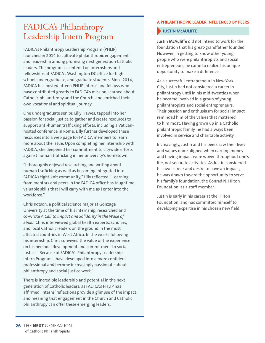### FADICA's Philanthropy Leadership Intern Program

FADICA's Philanthropy Leadership Program (PHLIP) launched in 2014 to cultivate philanthropic engagement and leadership among promising next generation Catholic leaders. The program is centered on internships and fellowships at FADICA's Washington DC office for high school, undergraduate, and graduate students. Since 2014, FADICA has hosted fifteen PHLIP interns and fellows who have contributed greatly to FADICA's mission, learned about Catholic philanthropy and the Church, and enriched their own vocational and spiritual journey.

One undergraduate senior, Lilly Hawes, tapped into her passion for social justice to gather and create resources to support anti-human trafficking efforts, including a Vaticanhosted conference in Rome. Lilly further developed these resources into a web page for FADICA members to learn more about the issue. Upon completing her internship with FADICA, she deepened her commitment to citywide efforts against human trafficking in her university's hometown.

"I thoroughly enjoyed researching and writing about human trafficking as well as becoming integrated into FADICA's tight-knit community," Lilly reflected. "Learning from mentors and peers in the FADICA office has taught me valuable skills that I will carry with me as I enter into the workforce."

Chris Kotson, a political science major at Gonzaga University at the time of his internship, researched and co-wrote *A Call to Impact and Solidarity in the Wake of Ebola.* Chris interviewed global health experts, scholars, and local Catholic leaders on the ground in the most affected countries in West Africa. In the weeks following his internship, Chris conveyed the value of the experience on his personal development and commitment to social justice. "Because of FADICA's Philanthropy Leadership Intern Program, I have developed into a more confident professional and become increasingly passionate about philanthropy and social justice work."

There is incredible leadership and potential in the next generation of Catholic leaders, as FADICA's PHLIP has affirmed. Interns' reflections provide a glimpse of the impact and meaning that engagement in the Church and Catholic philanthropy can offer these emerging leaders.

#### **A PHILANTHROPIC LEADER INFLUENCED BY PEERS**

#### **JUSTIN McAULIFFE**

**Justin McAuliffe** did not intend to work for the foundation that his great-grandfather founded. However, in getting to know other young people who were philanthropists and social entrepreneurs, he came to realize his unique opportunity to make a difference.

As a successful entrepreneur in New York City, Justin had not considered a career in philanthropy until in his mid-twenties when he became involved in a group of young philanthropists and social entrepreneurs. Their passion and enthusiasm for social impact reminded him of the values that mattered to him most. Having grown up in a Catholic philanthropic family, he had always been involved in service and charitable activity.

Increasingly, Justin and his peers saw their lives and values more aligned when earning money and having impact were woven throughout one's life, not separate activities. As Justin considered his own career and desire to have an impact, he was drawn toward the opportunity to serve his family's foundation, the Conrad N. Hilton Foundation, as a staff member.

Justin is early in his career at the Hilton Foundation, and has committed himself to developing expertise in his chosen new field.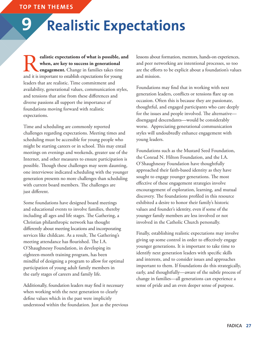**9**

# **Realistic Expectations**

**Realistic expectations of what is possible, and when, are key to success in generational engagement.** Change in families takes time and it is important to establish expectations for young **when, are key to success in generational engagement.** Change in families takes time leaders that are realistic. Time commitment and availability, generational values, communication styles, and tensions that arise from these differences and diverse passions all support the importance of foundations moving forward with realistic expectations.

Time and scheduling are commonly reported challenges regarding expectations. Meeting times and scheduling must be accessible for young people who might be starting careers or in school. This may entail meetings on evenings and weekends, greater use of the Internet, and other measures to ensure participation is possible. Though these challenges may seem daunting, one interviewee indicated scheduling with the younger generation presents no more challenges than scheduling with current board members. The challenges are just different.

Some foundations have designed board meetings and educational events to involve families, thereby including all ages and life stages. The Gathering, a Christian philanthropic network has thought differently about meeting locations and incorporating services like childcare. As a result, The Gathering's meeting attendance has flourished. The I.A. O'Shaughnessy Foundation, in developing its eighteen-month training program, has been mindful of designing a program to allow for optimal participation of young adult family members in the early stages of careers and family life.

Additionally, foundation leaders may find it necessary when working with the next generation to clearly define values which in the past were implicitly understood within the foundation. Just as the previous lessons about formation, mentors, hands-on experiences, and peer networking are intentional processes, so too are the efforts to be explicit about a foundation's values and mission.

Foundations may find that in working with next generation leaders, conflicts or tensions flare up on occasion. Often this is because they are passionate, thoughtful, and engaged participants who care deeply for the issues and people involved. The alternative disengaged descendants—would be considerably worse. Appreciating generational communication styles will undoubtedly enhance engagement with young leaders.

Foundations such as the Mustard Seed Foundation, the Conrad N. Hilton Foundation, and the I.A. O'Shaughnessy Foundation have thoughtfully approached their faith-based identity as they have sought to engage younger generations. The most effective of these engagement strategies involve encouragement of exploration, learning, and mutual discovery. The foundations profiled in this resource exhibited a desire to honor their family's historic values and founder's identity, even if some of the younger family members are less involved or not involved in the Catholic Church personally.

Finally, establishing realistic expectations may involve giving up some control in order to effectively engage younger generations. It is important to take time to identify next generation leaders with specific skills and interests, and to consider issues and approaches important to them. If foundations do this strategically, early, and thoughtfully—aware of the subtle process of change in families—all generations can experience a sense of pride and an even deeper sense of purpose.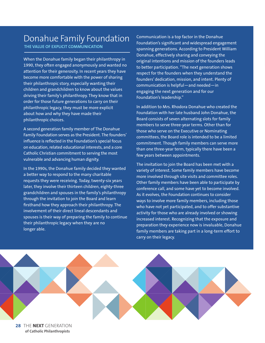### Donahue Family Foundation

**THE VALUE OF EXPLICIT COMMUNICATION**

When the Donahue family began their philanthropy in 1990, they often engaged anonymously and wanted no attention for their generosity. In recent years they have become more comfortable with the power of sharing their philanthropic story, especially wanting their children and grandchildren to know about the values driving their family's philanthropy. They know that in order for those future generations to carry on their philanthropic legacy, they must be more explicit about how and why they have made their philanthropic choices.

A second generation family member of The Donahue Family Foundation serves as the President. The founders' influence is reflected in the Foundation's special focus on education, related educational interests, and a core Catholic Christian commitment to serving the most vulnerable and advancing human dignity.

In the 1990s, the Donahue family decided they wanted a better way to respond to the many charitable requests they were receiving. Today, twenty-six years later, they involve their thirteen children, eighty-three grandchildren and spouses in the family's philanthropy through the invitation to join the Board and learn firsthand how they approach their philanthropy. The involvement of their direct lineal descendants and spouses is their way of preparing the family to continue their philanthropic legacy when they are no longer able.

Communication is a top factor in the Donahue Foundation's significant and widespread engagement spanning generations. According to President William Donahue, effectively sharing and conveying the original intentions and mission of the founders leads to better participation. "The next generation shows respect for the founders when they understand the founders' dedication, mission, and intent. Plenty of communication is helpful—and needed—in engaging the next generation and for our Foundation's leadership."

In addition to Mrs. Rhodora Donahue who created the Foundation with her late husband John Donahue, the Board consists of seven alternating slots for family members to serve three-year terms. Other than for those who serve on the Executive or Nominating committees, the Board role is intended to be a limited commitment. Though family members can serve more than one three-year term, typically there have been a few years between appointments.

The invitation to join the Board has been met with a variety of interest. Some family members have become more involved through site visits and committee roles. Other family members have been able to participate by conference call, and some have yet to become involved. As it evolves, the Foundation continues to consider ways to involve more family members, including those who have not yet participated, and to offer substantive activity for those who are already involved or showing increased interest. Recognizing that the exposure and preparation they experience now is invaluable, Donahue family members are taking part in a long-term effort to carry on their legacy.



**of Catholic Philanthropists**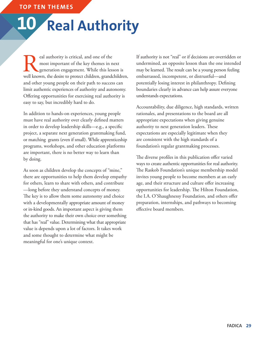## **Real Authority 10**

real authority is critical, and one of the most important of the key themes in next generation engagement. While this lesson is well known, the desire to protect children, grandchildren, most important of the key themes in next generation engagement. While this lesson is and other young people on their path to success can limit authentic experiences of authority and autonomy. Offering opportunities for exercising real authority is easy to say, but incredibly hard to do.

In addition to hands-on experiences, young people must have real authority over clearly defined matters in order to develop leadership skills—e.g., a specific project, a separate next generation grantmaking fund, or matching grants (even if small). While apprenticeship programs, workshops, and other education platforms are important, there is no better way to learn than by doing.

As soon as children develop the concepts of "mine," there are opportunities to help them develop empathy for others, learn to share with others, and contribute —long before they understand concepts of money. The key is to allow them some autonomy and choice with a developmentally appropriate amount of money or in-kind goods. An important aspect is giving them the authority to make their own choice over something that has "real" value. Determining what that appropriate value is depends upon a lot of factors. It takes work and some thought to determine what might be meaningful for one's unique context.

If authority is not "real" or if decisions are overridden or undermined, an opposite lesson than the one intended may be learned. The result can be a young person feeling embarrassed, incompetent, or distrustful—and potentially losing interest in philanthropy. Defining boundaries clearly in advance can help assure everyone understands expectations.

Accountability, due diligence, high standards, written rationales, and presentations to the board are all appropriate expectations when giving genuine authority to next generation leaders. These expectations are especially legitimate when they are consistent with the high standards of a foundation's regular grantmaking processes.

The diverse profiles in this publication offer varied ways to create authentic opportunities for real authority. The Raskob Foundation's unique membership model invites young people to become members at an early age, and their structure and culture offer increasing opportunities for leadership. The Hilton Foundation, the I.A. O'Shaughnessy Foundation, and others offer preparation, internships, and pathways to becoming effective board members.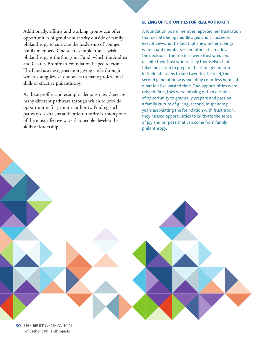Additionally, affinity and working groups can offer opportunities of genuine authority outside of family philanthropy to cultivate the leadership of younger family members. One such example from Jewish philanthropy is the Slingshot Fund, which the Andrea and Charles Bronfman Foundation helped to create. The Fund is a next generation giving circle through which young Jewish donors learn many professional skills of effective philanthropy.

As these profiles and examples demonstrate, there are many different pathways through which to provide opportunities for genuine authority. Finding such pathways is vital, as authentic authority is among one of the most effective ways that people develop the skills of leadership.

#### **SEIZING OPPORTUNITIES FOR REAL AUTHORITY**

A foundation board member reported her frustration that despite being middle aged and a successful executive—and the fact that she and her siblings were board members—her father still made all the decisions. The trustees were frustrated and despite their frustrations, they themselves had taken no action to prepare the third generation in their late teens to late twenties. Instead, the second generation was spending countless hours of what felt like wasted time. Two opportunities were missed: first, they were missing out on decades of opportunity to gradually prepare and pass on a family culture of giving; second, in spending years associating the foundation with frustration, they missed opportunities to cultivate the sense of joy and purpose that can come from family philanthropy.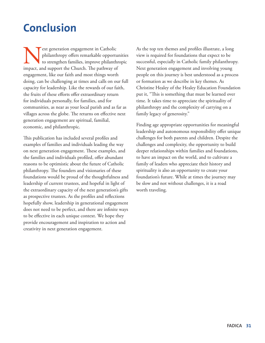## **Conclusion**

Ext generation engagement in Catholic<br>philanthropy offers remarkable opportu<br>to strengthen families, improve philanth<br>impact, and support the Church. The pathway of philanthropy offers remarkable opportunities to strengthen families, improve philanthropic impact, and support the Church. The pathway of engagement, like our faith and most things worth doing, can be challenging at times and calls on our full capacity for leadership. Like the rewards of our faith, the fruits of these efforts offer extraordinary return for individuals personally, for families, and for communities, as near as your local parish and as far as villages across the globe. The returns on effective next generation engagement are spiritual, familial, economic, and philanthropic.

This publication has included several profiles and examples of families and individuals leading the way on next generation engagement. These examples, and the families and individuals profiled, offer abundant reasons to be optimistic about the future of Catholic philanthropy. The founders and visionaries of these foundations would be proud of the thoughtfulness and leadership of current trustees, and hopeful in light of the extraordinary capacity of the next generation's gifts as prospective trustees. As the profiles and reflections hopefully show, leadership in generational engagement does not need to be perfect, and there are infinite ways to be effective in each unique context. We hope they provide encouragement and inspiration to action and creativity in next generation engagement.

As the top ten themes and profiles illustrate, a long view is required for foundations that expect to be successful, especially in Catholic family philanthropy. Next generation engagement and involving young people on this journey is best understood as a process or formation as we describe in key themes. As Christine Healey of the Healey Education Foundation put it, "This is something that must be learned over time. It takes time to appreciate the spirituality of philanthropy and the complexity of carrying on a family legacy of generosity."

Finding age appropriate opportunities for meaningful leadership and autonomous responsibility offer unique challenges for both parents and children. Despite the challenges and complexity, the opportunity to build deeper relationships within families and foundations, to have an impact on the world, and to cultivate a family of leaders who appreciate their history and spirituality is also an opportunity to create your foundation's future. While at times the journey may be slow and not without challenges, it is a road worth traveling.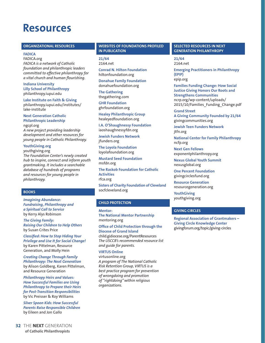## **Resources**

#### **ORGANIZATIONAL RESOURCES**

#### **FADICA**

FADICA.org *FADICA is a network of Catholic foundation and philanthropic leaders committed to effective philanthropy for a vital church and human flourishing.* 

**Indiana University Lilly School of Philanthropy** philanthropy.iupui.edu

**Lake Institute on Faith & Giving** philanthropy.iupui.edu/institutes/ lake-institute

**Next Generation Catholic Philanthropic Leadership** ngcpl.org

*A new project providing leadership development and other resources for young people in Catholic Philanthropy.*

#### **YouthGiving.org**

youthgiving.org *The Foundation Center's newly created hub to inspire, connect and inform youth grantmaking. It includes a searchable database of hundreds of programs and resources for young people in philanthropy.* 

#### **BOOKS**

*Imagining Abundance: Fundraising, Philanthropy and a Spiritual Call to Service* by Kerry Alys Robinson

*The Giving Family: Raising Our Children to Help Others* by Susan Crites Price

*Classified: How to Stop Hiding Your Privilege and Use It for Social Change!* by Karen Pittelman, Resource Generation, and Molly Hein

*Creating Change Through Family Philanthropy: The Next Generation* by Alison Goldberg, Karen Pittelman, and Resource Generation

*Philanthropy Heirs and Values: How Successful Families are Using Philanthropy to Prepare their Heirs for Post-Transition Responsibilities* by Vic Preisser & Roy Williams

*Silver Spoon Kids: How Successful Parents Raise Responsible Children* by Eileen and Jon Gallo

#### **WEBSITES OF FOUNDATIONS PROFILED IN PUBLICATION**

**21/64** 2164.net

**Conrad N. Hilton Foundation** hiltonfoundation.org

**Donahue Family Foundation** donahuefoundation.org

**The Gathering** thegathering.com

**GHR Foundation** ghrfoundation.org

**Healey Philanthropic Group** healeyedfoundation.org

**I.A. O'Shaughnessy Foundation** iaoshaughnessyfdn.org

**Jewish Funders Network** jfunders.org

**The Loyola Foundation** loyolafoundation.org

**Mustard Seed Foundation** msfdn.org

**The Raskob Foundation for Catholic Activities** rfca.org

**Sisters of Charity Foundation of Cleveland** socfcleveland.org

#### **CHILD PROTECTION**

**Mentor: The National Mentor Partnership** mentoring.org **Office of Child Protection through the** 

**Diocese of Grand Island** child.gidiocese.org/ParentResources *The USCCB's recommended resource list and guide for parents.* 

#### **VIRTUS Online**

virtusonline.org *A program of The National Catholic Risk Retention Group, VIRTUS is a best practice program for prevention of wrongdoing and promotion of "rightdoing" within religious organizations.* 

#### **SELECTED RESOURCES IN NEXT GENERATION PHILANTHROPY**

**21/64** 2164.net

**Emerging Practitioners in Philanthropy (EPIP)** epip.org

**Families Funding Change: How Social Justice Giving Honors Our Roots and Strengthens Communities** ncrp.org/wp-content/uploads/

2015/10/Families\_Funding\_Change.pdf

**Grand Street A Giving Community Founded by 21/64** givingcommunities.org

**Jewish Teen Funders Network** jtfn.org

**National Center for Family Philanthropy** ncfp.org

**Next Gen Fellows** exponentphilanthropy.org

**Nexus Global Youth Summit** nexusglobal.org

**One Percent Foundation** givingcirclesfund.org

**Resource Generation** resourcegeneration.org

**YouthGiving** youthgiving.org

#### **GIVING CIRCLES**

**Regional Association of Grantmakers – Giving Circle Knowledge Center** givingforum.org/topic/giving-circles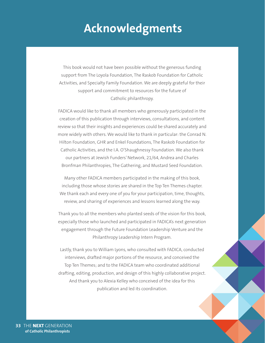## **Acknowledgments**

This book would not have been possible without the generous funding support from The Loyola Foundation, The Raskob Foundation for Catholic Activities, and Specialty Family Foundation. We are deeply grateful for their support and commitment to resources for the future of Catholic philanthropy.

FADICA would like to thank all members who generously participated in the creation of this publication through interviews, consultations, and content review so that their insights and experiences could be shared accurately and more widely with others. We would like to thank in particular: the Conrad N. Hilton Foundation, GHR and Enkel Foundations, The Raskob Foundation for Catholic Activities, and the I.A. O'Shaughnessy Foundation. We also thank our partners at Jewish Funders' Network, 21/64, Andrea and Charles Bronfman Philanthropies, The Gathering, and Mustard Seed Foundation.

Many other FADICA members participated in the making of this book, including those whose stories are shared in the Top Ten Themes chapter. We thank each and every one of you for your participation, time, thoughts, review, and sharing of experiences and lessons learned along the way.

Thank you to all the members who planted seeds of the vision for this book, especially those who launched and participated in FADICA's next generation engagement through the Future Foundation Leadership Venture and the Philanthropy Leadership Intern Program.

Lastly, thank you to William Lyons, who consulted with FADICA, conducted interviews, drafted major portions of the resource, and conceived the Top Ten Themes; and to the FADICA team who coordinated additional drafting, editing, production, and design of this highly collaborative project. And thank you to Alexia Kelley who conceived of the idea for this publication and led its coordination.

**FADICA 33**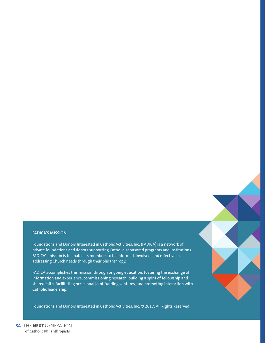#### **FADICA'S MISSION**

Foundations and Donors Interested in Catholic Activities, Inc. (FADICA) is a network of private foundations and donors supporting Catholic-sponsored programs and institutions. FADICA's mission is to enable its members to be informed, involved, and effective in addressing Church needs through their philanthropy.

FADICA accomplishes this mission through ongoing education, fostering the exchange of information and experience, commissioning research, building a spirit of fellowship and shared faith, facilitating occasional joint funding ventures, and promoting interaction with Catholic leadership.

Foundations and Donors Interested in Catholic Activities, Inc. © 2017. All Rights Reserved.